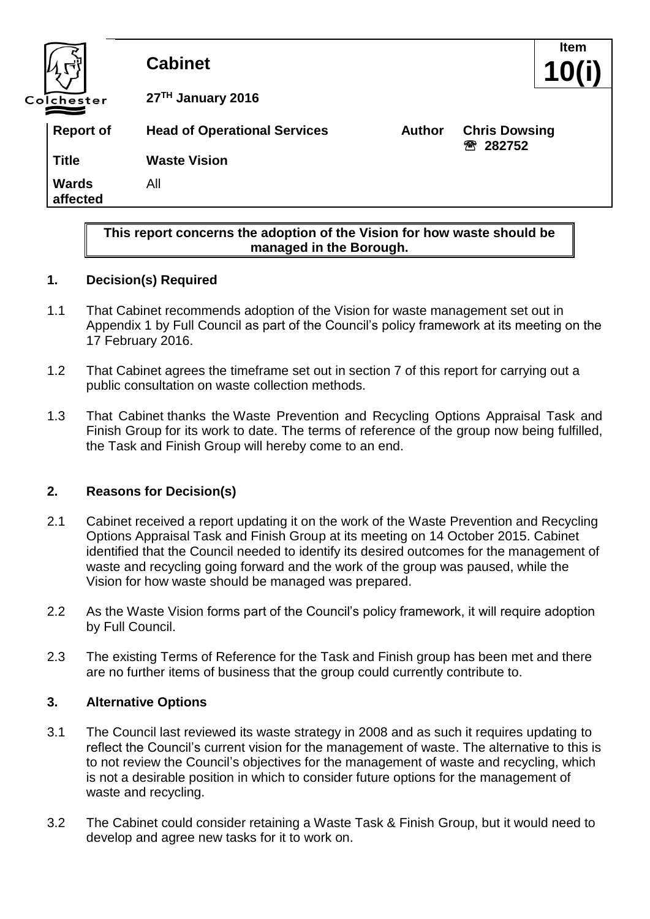

#### **1. Decision(s) Required**

1.1 That Cabinet recommends adoption of the Vision for waste management set out in Appendix 1 by Full Council as part of the Council's policy framework at its meeting on the 17 February 2016.

**managed in the Borough.**

- 1.2 That Cabinet agrees the timeframe set out in section 7 of this report for carrying out a public consultation on waste collection methods.
- 1.3 That Cabinet thanks the Waste Prevention and Recycling Options Appraisal Task and Finish Group for its work to date. The terms of reference of the group now being fulfilled, the Task and Finish Group will hereby come to an end.

#### **2. Reasons for Decision(s)**

- 2.1 Cabinet received a report updating it on the work of the Waste Prevention and Recycling Options Appraisal Task and Finish Group at its meeting on 14 October 2015. Cabinet identified that the Council needed to identify its desired outcomes for the management of waste and recycling going forward and the work of the group was paused, while the Vision for how waste should be managed was prepared.
- 2.2 As the Waste Vision forms part of the Council's policy framework, it will require adoption by Full Council.
- 2.3 The existing Terms of Reference for the Task and Finish group has been met and there are no further items of business that the group could currently contribute to.

#### **3. Alternative Options**

- 3.1 The Council last reviewed its waste strategy in 2008 and as such it requires updating to reflect the Council's current vision for the management of waste. The alternative to this is to not review the Council's objectives for the management of waste and recycling, which is not a desirable position in which to consider future options for the management of waste and recycling.
- 3.2 The Cabinet could consider retaining a Waste Task & Finish Group, but it would need to develop and agree new tasks for it to work on.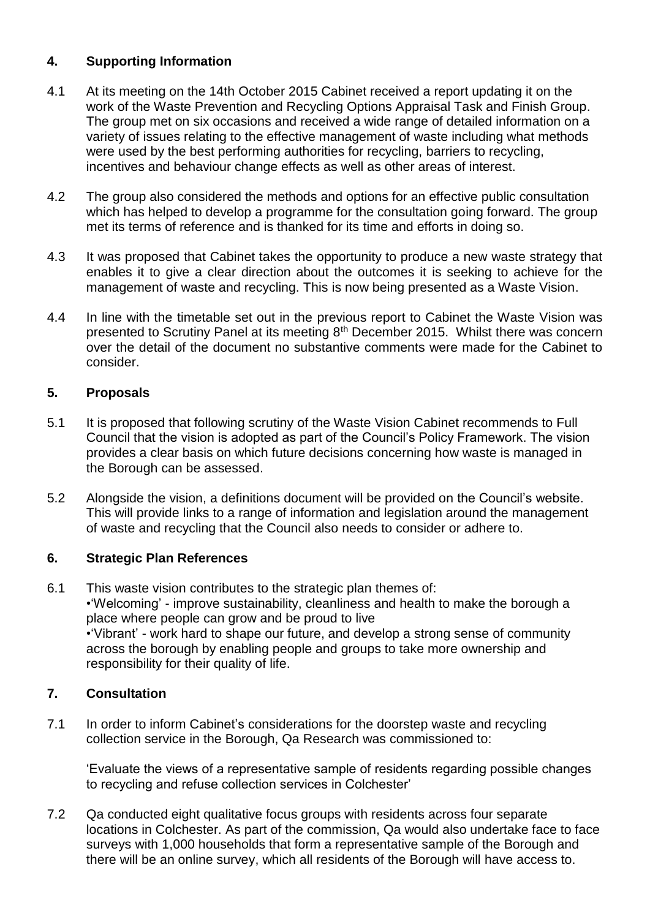# **4. Supporting Information**

- 4.1 At its meeting on the 14th October 2015 Cabinet received a report updating it on the work of the Waste Prevention and Recycling Options Appraisal Task and Finish Group. The group met on six occasions and received a wide range of detailed information on a variety of issues relating to the effective management of waste including what methods were used by the best performing authorities for recycling, barriers to recycling, incentives and behaviour change effects as well as other areas of interest.
- 4.2 The group also considered the methods and options for an effective public consultation which has helped to develop a programme for the consultation going forward. The group met its terms of reference and is thanked for its time and efforts in doing so.
- 4.3 It was proposed that Cabinet takes the opportunity to produce a new waste strategy that enables it to give a clear direction about the outcomes it is seeking to achieve for the management of waste and recycling. This is now being presented as a Waste Vision.
- 4.4 In line with the timetable set out in the previous report to Cabinet the Waste Vision was presented to Scrutiny Panel at its meeting 8<sup>th</sup> December 2015. Whilst there was concern over the detail of the document no substantive comments were made for the Cabinet to consider.

#### **5. Proposals**

- 5.1 It is proposed that following scrutiny of the Waste Vision Cabinet recommends to Full Council that the vision is adopted as part of the Council's Policy Framework. The vision provides a clear basis on which future decisions concerning how waste is managed in the Borough can be assessed.
- 5.2 Alongside the vision, a definitions document will be provided on the Council's website. This will provide links to a range of information and legislation around the management of waste and recycling that the Council also needs to consider or adhere to.

#### **6. Strategic Plan References**

6.1 This waste vision contributes to the strategic plan themes of: •'Welcoming' - improve sustainability, cleanliness and health to make the borough a place where people can grow and be proud to live •'Vibrant' - work hard to shape our future, and develop a strong sense of community across the borough by enabling people and groups to take more ownership and responsibility for their quality of life.

#### **7. Consultation**

7.1 In order to inform Cabinet's considerations for the doorstep waste and recycling collection service in the Borough, Qa Research was commissioned to:

'Evaluate the views of a representative sample of residents regarding possible changes to recycling and refuse collection services in Colchester'

7.2 Qa conducted eight qualitative focus groups with residents across four separate locations in Colchester. As part of the commission, Qa would also undertake face to face surveys with 1,000 households that form a representative sample of the Borough and there will be an online survey, which all residents of the Borough will have access to.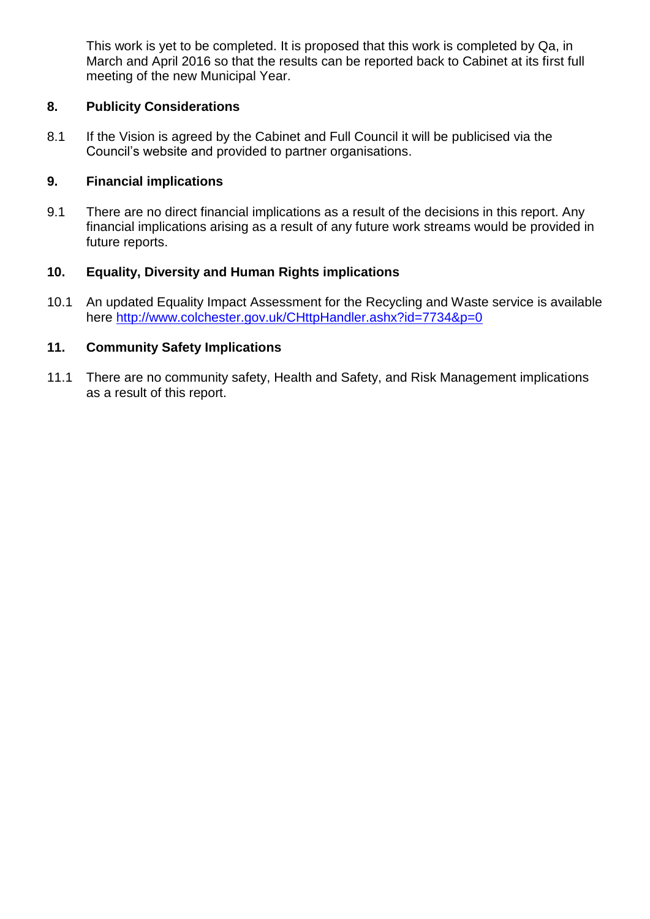This work is yet to be completed. It is proposed that this work is completed by Qa, in March and April 2016 so that the results can be reported back to Cabinet at its first full meeting of the new Municipal Year.

#### **8. Publicity Considerations**

8.1 If the Vision is agreed by the Cabinet and Full Council it will be publicised via the Council's website and provided to partner organisations.

## **9. Financial implications**

9.1 There are no direct financial implications as a result of the decisions in this report. Any financial implications arising as a result of any future work streams would be provided in future reports.

## **10. Equality, Diversity and Human Rights implications**

10.1 An updated Equality Impact Assessment for the Recycling and Waste service is available here<http://www.colchester.gov.uk/CHttpHandler.ashx?id=7734&p=0>

#### **11. Community Safety Implications**

11.1 There are no community safety, Health and Safety, and Risk Management implications as a result of this report.